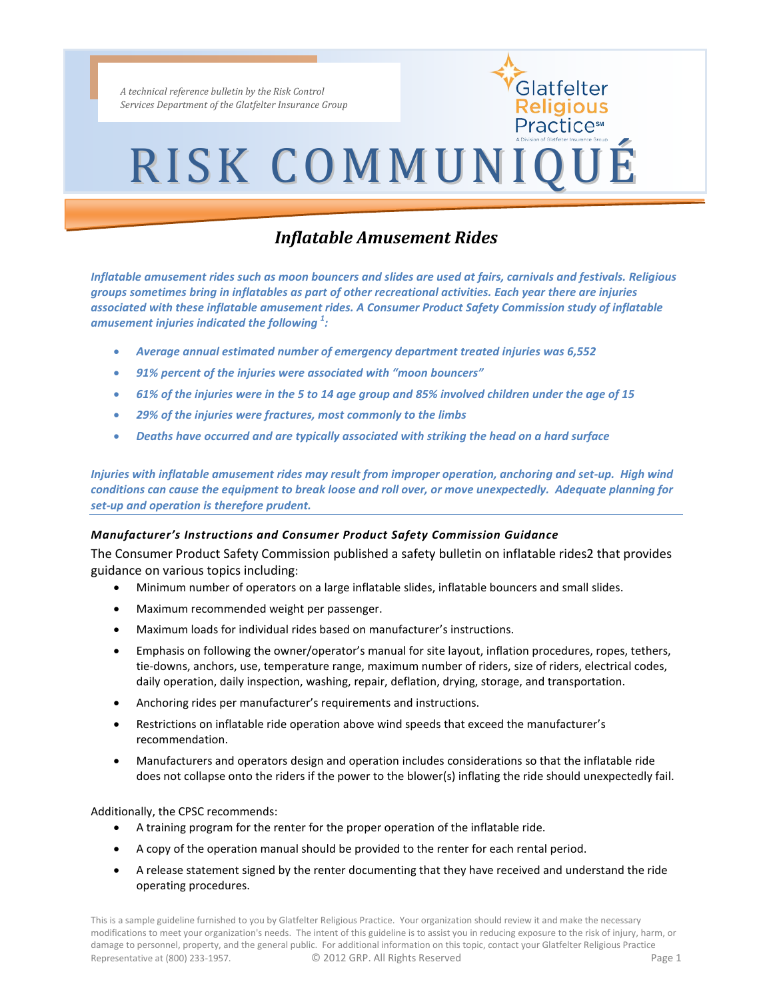*A technical reference bulletin by the Risk Control Services Department of the Glatfelter Insurance Group*

## RISK COMMUNIQUÉ

Glatfelter Religious Practice™

### *Inflatable Amusement Rides*

*Inflatable amusement rides such as moon bouncers and slides are used at fairs, carnivals and festivals. Religious groups sometimes bring in inflatables as part of other recreational activities. Each year there are injuries associated with these inflatable amusement rides. A Consumer Product Safety Commission study of inflatable amusement injuries indicated the following <sup>1</sup> :*

- *Average annual estimated number of emergency department treated injuries was 6,552*
- *91% percent of the injuries were associated with "moon bouncers"*
- *61% of the injuries were in the 5 to 14 age group and 85% involved children under the age of 15*
- *29% of the injuries were fractures, most commonly to the limbs*
- *Deaths have occurred and are typically associated with striking the head on a hard surface*

*Injuries with inflatable amusement rides may result from improper operation, anchoring and set-up. High wind conditions can cause the equipment to break loose and roll over, or move unexpectedly. Adequate planning for set-up and operation is therefore prudent.* 

#### *Manufacturer's Instructions and Consumer Product Safety Commission Guidance*

The Consumer Product Safety Commission published a safety bulletin on inflatable rides2 that provides guidance on various topics including:

- Minimum number of operators on a large inflatable slides, inflatable bouncers and small slides.
- Maximum recommended weight per passenger.
- Maximum loads for individual rides based on manufacturer's instructions.
- Emphasis on following the owner/operator's manual for site layout, inflation procedures, ropes, tethers, tie-downs, anchors, use, temperature range, maximum number of riders, size of riders, electrical codes, daily operation, daily inspection, washing, repair, deflation, drying, storage, and transportation.
- Anchoring rides per manufacturer's requirements and instructions.
- Restrictions on inflatable ride operation above wind speeds that exceed the manufacturer's recommendation.
- Manufacturers and operators design and operation includes considerations so that the inflatable ride does not collapse onto the riders if the power to the blower(s) inflating the ride should unexpectedly fail.

Additionally, the CPSC recommends:

- A training program for the renter for the proper operation of the inflatable ride.
- A copy of the operation manual should be provided to the renter for each rental period.
- A release statement signed by the renter documenting that they have received and understand the ride operating procedures.

This is a sample guideline furnished to you by Glatfelter Religious Practice. Your organization should review it and make the necessary modifications to meet your organization's needs. The intent of this guideline is to assist you in reducing exposure to the risk of injury, harm, or damage to personnel, property, and the general public. For additional information on this topic, contact your Glatfelter Religious Practice Representative at (800) 233-1957. <br>
C 2012 GRP. All Rights Reserved **Page 1** Page 1